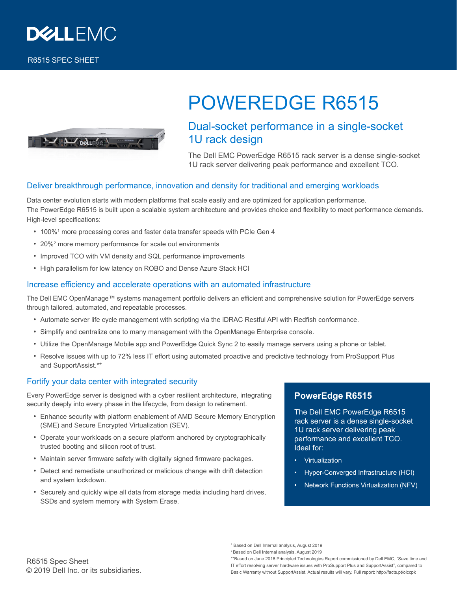

R6515 SPEC SHEET

# POWEREDGE R6515



## Dual-socket performance in a single-socket 1U rack design

The Dell EMC PowerEdge R6515 rack server is a dense single-socket 1U rack server delivering peak performance and excellent TCO.

#### Deliver breakthrough performance, innovation and density for traditional and emerging workloads

Data center evolution starts with modern platforms that scale easily and are optimized for application performance. The PowerEdge R6515 is built upon a scalable system architecture and provides choice and flexibility to meet performance demands. High-level specifications:

- 100%<sup>1</sup> more processing cores and faster data transfer speeds with PCIe Gen 4
- 20%<sup>2</sup> more memory performance for scale out environments
- Improved TCO with VM density and SQL performance improvements
- High parallelism for low latency on ROBO and Dense Azure Stack HCI

#### Increase efficiency and accelerate operations with an automated infrastructure

The Dell EMC OpenManage™ systems management portfolio delivers an efficient and comprehensive solution for PowerEdge servers through tailored, automated, and repeatable processes.

- Automate server life cycle management with scripting via the iDRAC Restful API with Redfish conformance.
- Simplify and centralize one to many management with the OpenManage Enterprise console.
- Utilize the OpenManage Mobile app and PowerEdge Quick Sync 2 to easily manage servers using a phone or tablet.
- Resolve issues with up to 72% less IT effort using automated proactive and predictive technology from ProSupport Plus and SupportAssist.\*\*

#### Fortify your data center with integrated security

Every PowerEdge server is designed with a cyber resilient architecture, integrating security deeply into every phase in the lifecycle, from design to retirement.

- Enhance security with platform enablement of AMD Secure Memory Encryption (SME) and Secure Encrypted Virtualization (SEV).
- Operate your workloads on a secure platform anchored by cryptographically trusted booting and silicon root of trust.
- Maintain server firmware safety with digitally signed firmware packages.
- Detect and remediate unauthorized or malicious change with drift detection and system lockdown.
- Securely and quickly wipe all data from storage media including hard drives, SSDs and system memory with System Erase.

### **PowerEdge R6515**

The Dell EMC PowerEdge R6515 rack server is a dense single-socket 1U rack server delivering peak performance and excellent TCO. Ideal for:

- Virtualization
- Hyper-Converged Infrastructure (HCI)
- Network Functions Virtualization (NFV)

1 Based on Dell Internal analysis, August 2019

2 Based on Dell Internal analysis, August 2019

\*\*Based on June 2018 Principled Technologies Report commissioned by Dell EMC, "Save time and IT effort resolving server hardware issues with ProSupport Plus and SupportAssist", compared to Basic Warranty without SupportAssist. Actual results will vary. Full report: http://facts.pt/olccpk

R6515 Spec Sheet © 2019 Dell Inc. or its subsidiaries.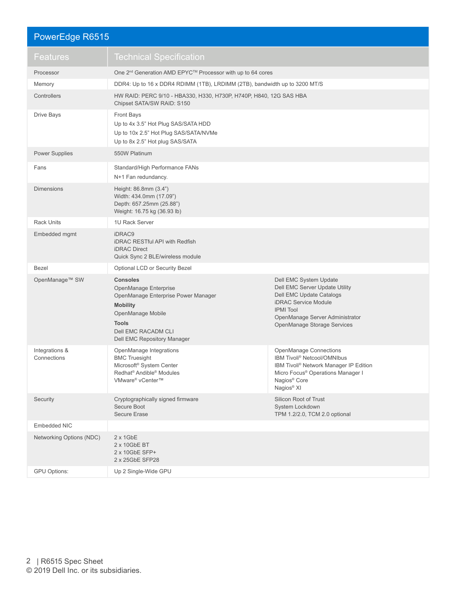## PowerEdge R6515

| Features                      | <b>Technical Specification</b>                                                                                                                                                                |                                                                                                                                                                                                                                       |  |
|-------------------------------|-----------------------------------------------------------------------------------------------------------------------------------------------------------------------------------------------|---------------------------------------------------------------------------------------------------------------------------------------------------------------------------------------------------------------------------------------|--|
| Processor                     | One 2 <sup>nd</sup> Generation AMD EPYC™ Processor with up to 64 cores                                                                                                                        |                                                                                                                                                                                                                                       |  |
| Memory                        | DDR4: Up to 16 x DDR4 RDIMM (1TB), LRDIMM (2TB), bandwidth up to 3200 MT/S                                                                                                                    |                                                                                                                                                                                                                                       |  |
| Controllers                   | HW RAID: PERC 9/10 - HBA330, H330, H730P, H740P, H840, 12G SAS HBA<br>Chipset SATA/SW RAID: S150                                                                                              |                                                                                                                                                                                                                                       |  |
| Drive Bays                    | <b>Front Bays</b><br>Up to 4x 3.5" Hot Plug SAS/SATA HDD<br>Up to 10x 2.5" Hot Plug SAS/SATA/NVMe<br>Up to 8x 2.5" Hot plug SAS/SATA                                                          |                                                                                                                                                                                                                                       |  |
| <b>Power Supplies</b>         | 550W Platinum                                                                                                                                                                                 |                                                                                                                                                                                                                                       |  |
| Fans                          | Standard/High Performance FANs<br>N+1 Fan redundancy.                                                                                                                                         |                                                                                                                                                                                                                                       |  |
| <b>Dimensions</b>             | Height: 86.8mm (3.4")<br>Width: 434.0mm (17.09")<br>Depth: 657.25mm (25.88")<br>Weight: 16.75 kg (36.93 lb)                                                                                   |                                                                                                                                                                                                                                       |  |
| <b>Rack Units</b>             | 1U Rack Server                                                                                                                                                                                |                                                                                                                                                                                                                                       |  |
| Embedded mgmt                 | iDRAC9<br><b>iDRAC RESTful API with Redfish</b><br><b>iDRAC</b> Direct<br>Quick Sync 2 BLE/wireless module                                                                                    |                                                                                                                                                                                                                                       |  |
| <b>Bezel</b>                  | Optional LCD or Security Bezel                                                                                                                                                                |                                                                                                                                                                                                                                       |  |
| OpenManage™ SW                | <b>Consoles</b><br>OpenManage Enterprise<br>OpenManage Enterprise Power Manager<br><b>Mobility</b><br>OpenManage Mobile<br><b>Tools</b><br>Dell EMC RACADM CLI<br>Dell EMC Repository Manager | Dell EMC System Update<br>Dell EMC Server Update Utility<br><b>Dell EMC Update Catalogs</b><br><b>iDRAC Service Module</b><br><b>IPMI</b> Tool<br>OpenManage Server Administrator<br>OpenManage Storage Services                      |  |
| Integrations &<br>Connections | OpenManage Integrations<br><b>BMC Truesight</b><br>Microsoft <sup>®</sup> System Center<br>Redhat <sup>®</sup> Andible <sup>®</sup> Modules<br>VMware® vCenter™                               | <b>OpenManage Connections</b><br>IBM Tivoli <sup>®</sup> Netcool/OMNIbus<br>IBM Tivoli <sup>®</sup> Network Manager IP Edition<br>Micro Focus <sup>®</sup> Operations Manager I<br>Nagios <sup>®</sup> Core<br>Nagios <sup>®</sup> XI |  |
| Security                      | Cryptographically signed firmware<br>Secure Boot<br><b>Secure Erase</b>                                                                                                                       | Silicon Root of Trust<br>System Lockdown<br>TPM 1.2/2.0, TCM 2.0 optional                                                                                                                                                             |  |
| Embedded NIC                  |                                                                                                                                                                                               |                                                                                                                                                                                                                                       |  |
| Networking Options (NDC)      | $2 \times 1$ GbE<br>2 x 10GbE BT<br>2 x 10GbE SFP+<br>2 x 25GbE SFP28                                                                                                                         |                                                                                                                                                                                                                                       |  |
| GPU Options:                  | Up 2 Single-Wide GPU                                                                                                                                                                          |                                                                                                                                                                                                                                       |  |
|                               |                                                                                                                                                                                               |                                                                                                                                                                                                                                       |  |